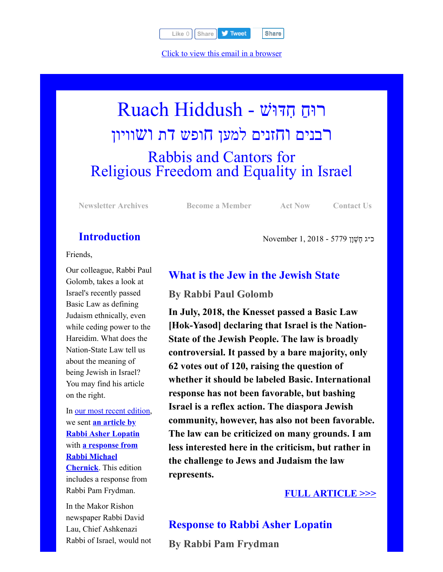

[Click to view this email in a browser](http://hosted.verticalresponse.com/577764/125c5deae4/TEST/TEST/)

# רוּחַ חִדּוּשׁ - Ruach Hiddush רבנים וחזנים למען חופש דת ושוויון Rabbis and Cantors for Religious Freedom and Equality in Israel

**[Newsletter Archives](http://cts.vresp.com/c/?FreedomofReligionfor/125c5deae4/325ceb4427/df108443e7) [Become a Member](http://cts.vresp.com/c/?FreedomofReligionfor/125c5deae4/325ceb4427/3fbeb589a1) [Act Now](http://cts.vresp.com/c/?FreedomofReligionfor/125c5deae4/325ceb4427/a43f30bc14) [Contact Us](http://cts.vresp.com/c/?FreedomofReligionfor/125c5deae4/325ceb4427/d7b8b96200)**

כ״ג ֶח ְשָׁון 5779 - 2018 1, November

## **Introduction**

Friends,

Our colleague, Rabbi Paul Golomb, takes a look at Israel's recently passed Basic Law as defining Judaism ethnically, even while ceding power to the Hareidim. What does the Nation-State Law tell us about the meaning of being Jewish in Israel? You may find his article on the right.

In [our most recent edition,](http://cts.vresp.com/c/?FreedomofReligionfor/125c5deae4/325ceb4427/0bc85ee709) we sent **an article by [Rabbi Asher Lopatin](http://cts.vresp.com/c/?FreedomofReligionfor/125c5deae4/325ceb4427/982fcbdc94)** with **[a response from](http://cts.vresp.com/c/?FreedomofReligionfor/125c5deae4/325ceb4427/e80223f393) Rabbi Michael Chernick**. This edition includes a response from Rabbi Pam Frydman.

In the Makor Rishon newspaper Rabbi David Lau, Chief Ashkenazi Rabbi of Israel, would not

## **What is the Jew in the Jewish State**

### **By Rabbi Paul Golomb**

**In July, 2018, the Knesset passed a Basic Law [Hok-Yasod] declaring that Israel is the Nation-State of the Jewish People. The law is broadly controversial. It passed by a bare majority, only 62 votes out of 120, raising the question of whether it should be labeled Basic. International response has not been favorable, but bashing Israel is a reflex action. The diaspora Jewish community, however, has also not been favorable. The law can be criticized on many grounds. I am less interested here in the criticism, but rather in the challenge to Jews and Judaism the law represents.**

## **[FULL ARTICLE >>>](http://cts.vresp.com/c/?FreedomofReligionfor/125c5deae4/325ceb4427/b6671c8fcf)**

**Response to Rabbi Asher Lopatin By Rabbi Pam Frydman**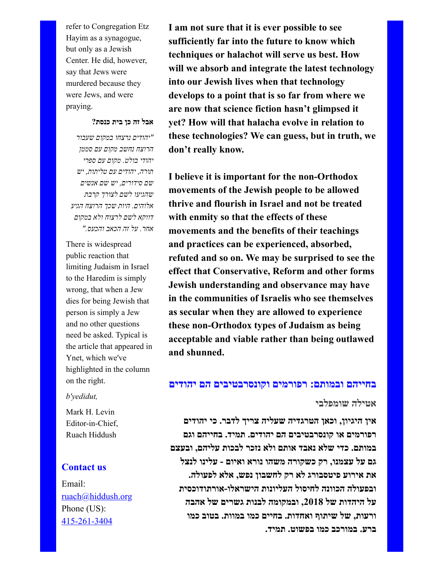refer to Congregation Etz Hayim as a synagogue, but only as a Jewish Center. He did, however, say that Jews were murdered because they were Jews, and were praying.

#### **אבל זה כן בית כנסת?**

*"יהודים נרצחו במקום שעבור הרוצח נחשב מקום עם סממן יהודי בולט. מקום עם ספרי תורה, יהודים עם טליתות, יש שם סידורים, יש שם אנשים שהגיעו לשם לצורך קרבת אלוהים. היות שכך הרוצח הגיע דווקא לשם לרצוח ולא במקום אחר. על זה הכאב והכעס."*

There is widespread public reaction that limiting Judaism in Israel to the Haredim is simply wrong, that when a Jew dies for being Jewish that person is simply a Jew and no other questions need be asked. Typical is the article that appeared in Ynet, which we've highlighted in the column on the right.

#### *b'yedidut,*

Mark H. Levin Editor-in-Chief, Ruach Hiddush

#### **Contact us**

Email: [ruach@hiddush.org](http://cts.vresp.com/c/?FreedomofReligionfor/125c5deae4/325ceb4427/62384d38f0) Phone (US): [415-261-3404](http://cts.vresp.com/c/?FreedomofReligionfor/125c5deae4/325ceb4427/f325c4da41)

**I am not sure that it is ever possible to see sufficiently far into the future to know which techniques or halachot will serve us best. How will we absorb and integrate the latest technology into our Jewish lives when that technology develops to a point that is so far from where we are now that science fiction hasn't glimpsed it yet? How will that halacha evolve in relation to these technologies? We can guess, but in truth, we don't really know.**

**I believe it is important for the non-Orthodox movements of the Jewish people to be allowed thrive and flourish in Israel and not be treated with enmity so that the effects of these movements and the benefits of their teachings and practices can be experienced, absorbed, refuted and so on. We may be surprised to see the effect that Conservative, Reform and other forms Jewish understanding and observance may have in the communities of Israelis who see themselves as secular when they are allowed to experience these non-Orthodox types of Judaism as being acceptable and viable rather than being outlawed and shunned.**

#### **בחייהם ובמותם: רפורמים וקונסרבטיבים הם יהודים**

#### **אטילה שומפלבי**

**אין היגיון, וכאן הטרגדיה שעליה צריך לדבר. כי יהודים רפורמים או קונסרבטיבים הם יהודים. תמיד. בחייהם וגם במותם. כדי שלא נאבד אותם ולא נזכר לבכות עליהם, ובעצם גם על עצמנו, רק כשקורה משהו נורא ואיום - עלינו לנצל את אירוע פיטסבורג לא רק לחשבון נפש, אלא לפעולה. ובפעולה הכוונה לחיסול העליונות הישראלו-אורתודוכסית על היהדות של ,2018 ובמקומה לבנות גשרים של אהבה ורעות, של שיתוף ואחדות. בחיים כמו במוות. בטוב כמו ברע. במורכב כמו בפשוט. תמיד.**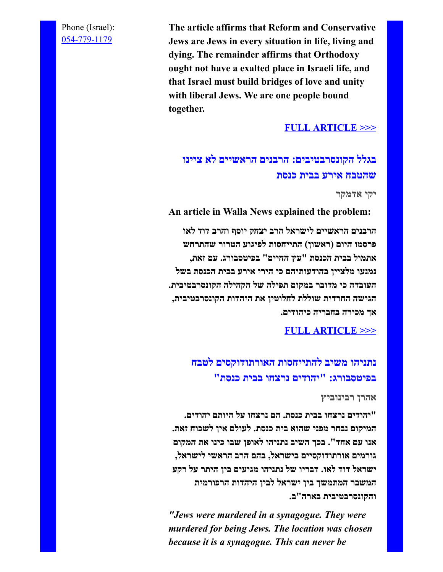Phone (Israel): [054-779-1179](http://cts.vresp.com/c/?FreedomofReligionfor/125c5deae4/325ceb4427/d2713eacf5)

**The article affirms that Reform and Conservative Jews are Jews in every situation in life, living and dying. The remainder affirms that Orthodoxy ought not have a exalted place in Israeli life, and that Israel must build bridges of love and unity with liberal Jews. We are one people bound together.**

## **[FULL ARTICLE >>>](http://cts.vresp.com/c/?FreedomofReligionfor/125c5deae4/325ceb4427/d99acd6d73)**

## **בגלל הקונסרבטיבים: הרבנים הראשיים לא ציינו שהטבח אירע בבית כנסת**

**יקי אדמקר**

**An article in Walla News explained the problem: הרבנים הראשיים לישראל הרב יצחק יוסף והרב דוד לאו פרסמו היום (ראשון) התייחסות לפיגוע הטרור שהתרחש אתמול בבית הכנסת "עץ החיים" בפיטסבורג. עם זאת, נמנעו מלציין בהודעותיהם כי הירי אירע בבית הכנסת בשל העובדה כי מדובר במקום תפילה של הקהילה הקונסרבטיבית. הגישה החרדית שוללת לחלוטין את היהדות הקונסרבטיבית, אך מכירה בחבריה כיהודים.**

#### **[FULL ARTICLE >>>](http://cts.vresp.com/c/?FreedomofReligionfor/125c5deae4/325ceb4427/1d12b73b5b)**

**נתניהו משיב להתייחסות האורתודוקסים לטבח בפיטסבורג: "יהודים נרצחו בבית כנסת"**

#### **אהרן רבינוביץ**

**"יהודים נרצחו בבית כנסת. הם נרצחו על היותם יהודים. המיקום נבחר מפני שהוא בית כנסת. לעולם אין לשכוח זאת. אנו עם אחד". בכך השיב נתניהו לאופן שבו כינו את המקום גורמים אורתודוקסיים בישראל, בהם הרב הראשי לישראל, ישראל דוד לאו. דבריו של נתניהו מגיעים בין היתר על רקע המשבר המתמשך בין ישראל לבין היהדות הרפורמית והקונסרבטיבית בארה"ב.**

*"Jews were murdered in a synagogue. They were murdered for being Jews. The location was chosen because it is a synagogue. This can never be*